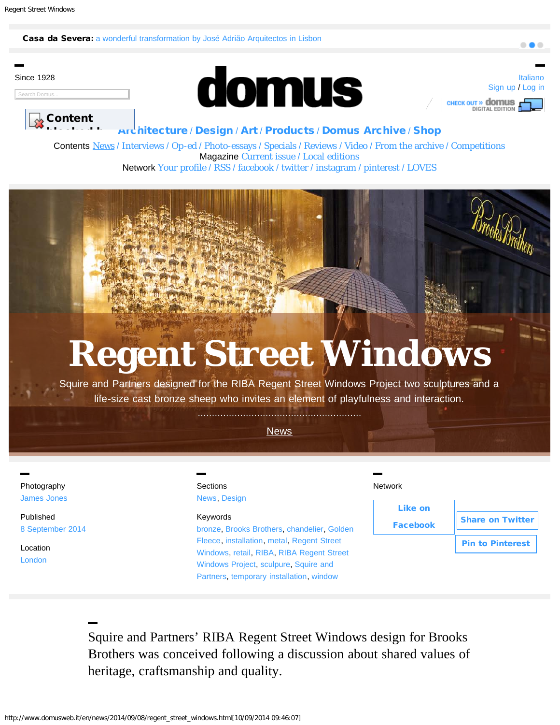#### <span id="page-0-0"></span>[Casa da Severa:](http://www.domusweb.it/en/architecture/2014/08/12/casa_da_severa.html.html) [a wonderful transformation by José Adrião Arquitectos in Lisbon](http://www.domusweb.it/en/architecture/2014/08/12/casa_da_severa.html.html)

| <b>Since 1928</b> |  |
|-------------------|--|
| Search Domus      |  |

Content blocked b



[Sign up](http://www.domusweb.it/en/profile/register.html) / [Log in](javascript:togglePanel() CHECK OUT » **domus** DIGITAL EDITION

[1](#page-0-0) [2](#page-0-0) [3](#page-0-0)

 $\bullet$   $\bullet$ 

## [Architecture](http://www.domusweb.it/en/architecture.html) / [Design](http://www.domusweb.it/en/design.html) / [Art](http://www.domusweb.it/en/art.html) / [Products](http://www.domusweb.it/en/products.html) / [Domus Archive](http://www.domusweb.it/en/shop/digital_archive.html) / [Shop](http://store.edidomus.it/sezioni/266/domus-english)

Contents [News](http://www.domusweb.it/en/news.html) / [Interviews](http://www.domusweb.it/en/interviews.html) / [Op-ed](http://www.domusweb.it/en/op-ed.html) / [Photo-essays](http://www.domusweb.it/en/photo-essays.html) / [Specials](http://www.domusweb.it/en/specials.html) / [Reviews](http://www.domusweb.it/en/reviews.html) / [Video](http://www.domusweb.it/en/video.html) / [From the archive](http://www.domusweb.it/en/from-the-archive.html) / [Competitions](http://www.domusweb.it/en/special_projects.html) Magazine [Current issue](http://www.domusweb.it/en/issues.current.html) / [Local editions](http://www.domusweb.it/en/local-editions.html) Network [Your profile](http://www.domusweb.it/en/profile/edit.html) / [RSS](http://www.domusweb.it/bin/domusweb/rss?country=en) / [facebook](https://www.facebook.com/Domus) / [twitter](https://twitter.com/domusweb) / [instagram](http://instagram.com/domusweb) / [pinterest](http://www.pinterest.com/domusweb/) / [LOVES](http://loves.domusweb.it/)

# **Regent Street Windows**

Squire and Partners designed for the RIBA Regent Street Windows Project two sculptures and a life-size cast bronze sheep who invites an element of playfulness and interaction.

> **[News](http://www.domusweb.it/en/news.html)**

Photography [James Jones](http://www.domusweb.it/en/search.html?type=photographer&key=James+Jones)

<span id="page-0-1"></span>Published [8 September 2014](http://www.domusweb.it/en/search.html?type=published&key=2014-09-08)

Location [London](http://www.domusweb.it/en/search.html?type=location&key=London)

# **Sections**

[News](http://www.domusweb.it/en/news.html), [Design](http://www.domusweb.it/en/design.html)

### Keywords

[bronze,](http://www.domusweb.it/en/search.html?type=tag&key=bronze) [Brooks Brothers,](http://www.domusweb.it/en/search.html?type=tag&key=brooks_brothers) [chandelier,](http://www.domusweb.it/en/search.html?type=tag&key=chandelier) [Golden](http://www.domusweb.it/en/search.html?type=tag&key=golden_fleece) [Fleece,](http://www.domusweb.it/en/search.html?type=tag&key=golden_fleece) [installation,](http://www.domusweb.it/en/search.html?type=tag&key=installation) [metal,](http://www.domusweb.it/en/search.html?type=tag&key=metal) [Regent Street](http://www.domusweb.it/en/search.html?type=tag&key=regent_street_windows) [Windows](http://www.domusweb.it/en/search.html?type=tag&key=regent_street_windows), [retail](http://www.domusweb.it/en/search.html?type=tag&key=retail), [RIBA](http://www.domusweb.it/en/search.html?type=tag&key=riba), [RIBA Regent Street](http://www.domusweb.it/en/search.html?type=tag&key=riba_regent_streetwindowsproject) [Windows Project,](http://www.domusweb.it/en/search.html?type=tag&key=riba_regent_streetwindowsproject) [sculpure,](http://www.domusweb.it/en/search.html?type=tag&key=sculpure) [Squire and](http://www.domusweb.it/en/search.html?type=tag&key=squire_and_partners) [Partners,](http://www.domusweb.it/en/search.html?type=tag&key=squire_and_partners) [temporary installation](http://www.domusweb.it/en/search.html?type=tag&key=temporary_installation), [window](http://www.domusweb.it/en/search.html?type=tag&key=window)





Squire and Partners' RIBA Regent Street Windows design for Brooks Brothers was conceived following a discussion about shared values of heritage, craftsmanship and quality.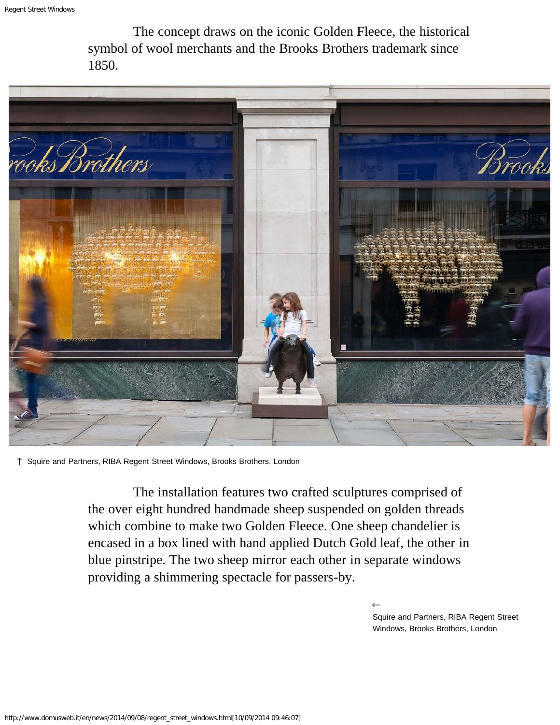The concept draws on the iconic Golden Fleece, the historical symbol of wool merchants and the Brooks Brothers trademark since 1850.



↑ Squire and Partners, RIBA Regent Street Windows, Brooks Brothers, London

The installation features two crafted sculptures comprised of the over eight hundred handmade sheep suspended on golden threads which combine to make two Golden Fleece. One sheep chandelier is encased in a box lined with hand applied Dutch Gold leaf, the other in blue pinstripe. The two sheep mirror each other in separate windows providing a shimmering spectacle for passers-by.

> Squire and Partners, RIBA Regent Street Windows, Brooks Brothers, London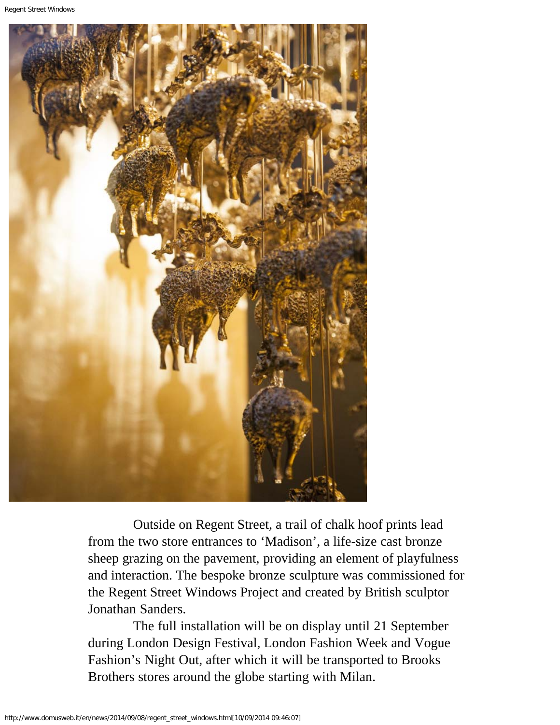

Outside on Regent Street, a trail of chalk hoof prints lead from the two store entrances to 'Madison', a life-size cast bronze sheep grazing on the pavement, providing an element of playfulness and interaction. The bespoke bronze sculpture was commissioned for the Regent Street Windows Project and created by British sculptor Jonathan Sanders.

The full installation will be on display until 21 September during London Design Festival, London Fashion Week and Vogue Fashion's Night Out, after which it will be transported to Brooks Brothers stores around the globe starting with Milan.